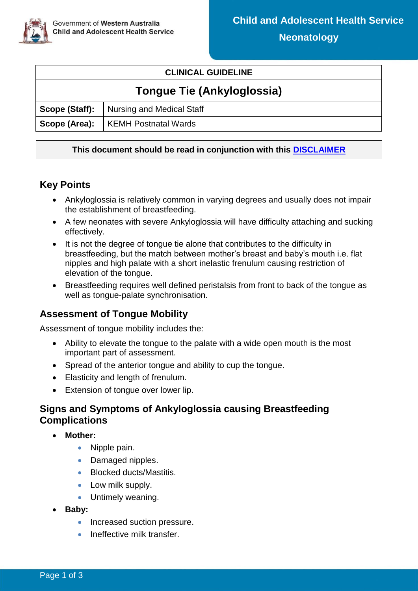#### **CLINICAL GUIDELINE**

# **Tongue Tie (Ankyloglossia)**

| Scope (Staff):   Nursing and Medical Staff |
|--------------------------------------------|
| Scope (Area):   KEMH Postnatal Wards       |

#### **This document should be read in conjunction with this [DISCLAIMER](https://healthpoint.hdwa.health.wa.gov.au/policies/Policies/CAHS/CAHS.PM.ClinicalDisclaimer.pdf)**

## **Key Points**

- Ankyloglossia is relatively common in varying degrees and usually does not impair the establishment of breastfeeding.
- A few neonates with severe Ankyloglossia will have difficulty attaching and sucking effectively.
- It is not the degree of tongue tie alone that contributes to the difficulty in breastfeeding, but the match between mother's breast and baby's mouth i.e. flat nipples and high palate with a short inelastic frenulum causing restriction of elevation of the tongue.
- Breastfeeding requires well defined peristalsis from front to back of the tongue as well as tongue-palate synchronisation.

# **Assessment of Tongue Mobility**

Assessment of tongue mobility includes the:

- Ability to elevate the tongue to the palate with a wide open mouth is the most important part of assessment.
- Spread of the anterior tongue and ability to cup the tongue.
- Elasticity and length of frenulum.
- Extension of tongue over lower lip.

# **Signs and Symptoms of Ankyloglossia causing Breastfeeding Complications**

- **Mother:**
	- Nipple pain.
	- Damaged nipples.
	- Blocked ducts/Mastitis.
	- Low milk supply.
	- Untimely weaning.
- **Baby:**
	- Increased suction pressure.
	- Ineffective milk transfer.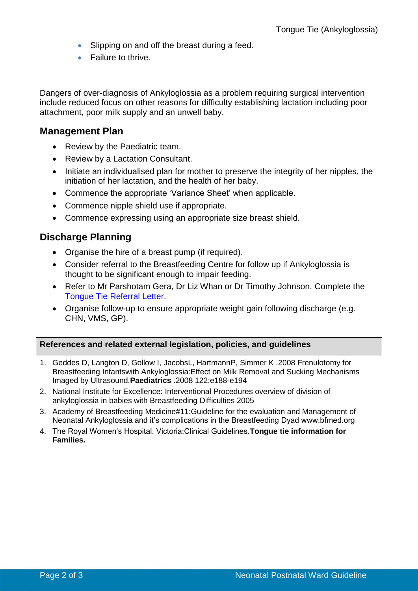- Slipping on and off the breast during a feed.
- Failure to thrive.

Dangers of over-diagnosis of Ankyloglossia as a problem requiring surgical intervention include reduced focus on other reasons for difficulty establishing lactation including poor attachment, poor milk supply and an unwell baby.

#### **Management Plan**

- Review by the Paediatric team.
- Review by a Lactation Consultant.
- Initiate an individualised plan for mother to preserve the integrity of her nipples, the initiation of her lactation, and the health of her baby.
- Commence the appropriate 'Variance Sheet' when applicable.
- Commence nipple shield use if appropriate.
- Commence expressing using an appropriate size breast shield.

## **Discharge Planning**

- Organise the hire of a breast pump (if required).
- Consider referral to the Breastfeeding Centre for follow up if Ankyloglossia is thought to be significant enough to impair feeding.
- Refer to Mr Parshotam Gera, Dr Liz Whan or Dr Timothy Johnson. Complete the [Tongue Tie Referral Letter.](https://cahs-healthpoint.hdwa.health.wa.gov.au/Neonatology/Neonatology%20Forms/Tongue%20Tie%20Referral%20Letter.pdf)
- Organise follow-up to ensure appropriate weight gain following discharge (e.g. CHN, VMS, GP).

#### **References and related external legislation, policies, and guidelines**

- 1. Geddes D, Langton D, Gollow I, JacobsL, HartmannP, Simmer K .2008 Frenulotomy for Breastfeeding Infantswith Ankyloglossia:Effect on Milk Removal and Sucking Mechanisms Imaged by Ultrasound.**Paediatrics** .2008 122;e188-e194
- 2. National Institute for Excellence: Interventional Procedures overview of division of ankyloglossia in babies with Breastfeeding Difficulties 2005
- 3. Academy of Breastfeeding Medicine#11:Guideline for the evaluation and Management of Neonatal Ankyloglossia and it's complications in the Breastfeeding Dyad www.bfmed.org
- 4. The Royal Women's Hospital. Victoria:Clinical Guidelines.**Tongue tie information for Families.**